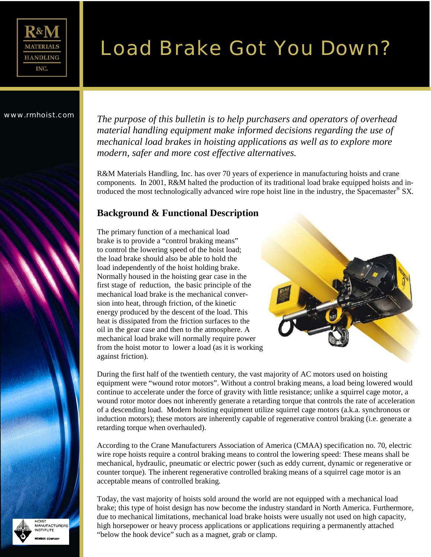

# Load Brake Got You Down?

www.rmhoist.com *The purpose of this bulletin is to help purchasers and operators of overhead material handling equipment make informed decisions regarding the use of mechanical load brakes in hoisting applications as well as to explore more modern, safer and more cost effective alternatives.* 

> R&M Materials Handling, Inc. has over 70 years of experience in manufacturing hoists and crane components. In 2001, R&M halted the production of its traditional load brake equipped hoists and introduced the most technologically advanced wire rope hoist line in the industry, the Spacemaster® SX*.*

### **Background & Functional Description**

The primary function of a mechanical load brake is to provide a "control braking means" to control the lowering speed of the hoist load; the load brake should also be able to hold the load independently of the hoist holding brake. Normally housed in the hoisting gear case in the first stage of reduction, the basic principle of the mechanical load brake is the mechanical conversion into heat, through friction, of the kinetic energy produced by the descent of the load. This heat is dissipated from the friction surfaces to the oil in the gear case and then to the atmosphere. A mechanical load brake will normally require power from the hoist motor to lower a load (as it is working against friction).



During the first half of the twentieth century, the vast majority of AC motors used on hoisting equipment were "wound rotor motors". Without a control braking means, a load being lowered would continue to accelerate under the force of gravity with little resistance; unlike a squirrel cage motor, a wound rotor motor does not inherently generate a retarding torque that controls the rate of acceleration of a descending load. Modern hoisting equipment utilize squirrel cage motors (a.k.a. synchronous or induction motors); these motors are inherently capable of regenerative control braking (i.e. generate a retarding torque when overhauled).

According to the Crane Manufacturers Association of America (CMAA) specification no. 70, electric wire rope hoists require a control braking means to control the lowering speed: These means shall be mechanical, hydraulic, pneumatic or electric power (such as eddy current, dynamic or regenerative or counter torque). The inherent regenerative controlled braking means of a squirrel cage motor is an acceptable means of controlled braking.

Today, the vast majority of hoists sold around the world are not equipped with a mechanical load brake; this type of hoist design has now become the industry standard in North America. Furthermore, due to mechanical limitations, mechanical load brake hoists were usually not used on high capacity, high horsepower or heavy process applications or applications requiring a permanently attached "below the hook device" such as a magnet, grab or clamp.



**TPIOK** IOIST<br>IANUFACTURERS **STITLITE**